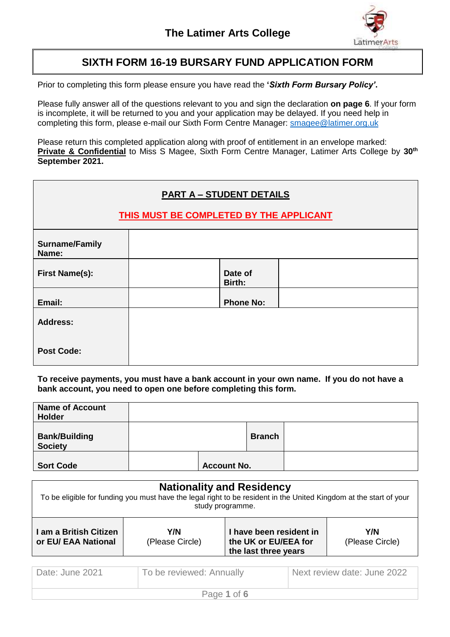

### **SIXTH FORM 16-19 BURSARY FUND APPLICATION FORM**

Prior to completing this form please ensure you have read the **'***Sixth Form Bursary Policy'***.**

Please fully answer all of the questions relevant to you and sign the declaration **on page 6**. If your form is incomplete, it will be returned to you and your application may be delayed. If you need help in completing this form, please e-mail our Sixth Form Centre Manager: [smagee@latimer.org.uk](mailto:smagee@latimer.org.uk)

Please return this completed application along with proof of entitlement in an envelope marked: **Private & Confidential** to Miss S Magee, Sixth Form Centre Manager, Latimer Arts College by **30th September 2021.**

| <b>PART A - STUDENT DETAILS</b><br>THIS MUST BE COMPLETED BY THE APPLICANT |                   |  |  |  |
|----------------------------------------------------------------------------|-------------------|--|--|--|
| <b>Surname/Family</b><br>Name:                                             |                   |  |  |  |
| <b>First Name(s):</b>                                                      | Date of<br>Birth: |  |  |  |
| Email:                                                                     | <b>Phone No:</b>  |  |  |  |
| <b>Address:</b>                                                            |                   |  |  |  |
| <b>Post Code:</b>                                                          |                   |  |  |  |

**To receive payments, you must have a bank account in your own name. If you do not have a bank account, you need to open one before completing this form.**

| <b>Name of Account</b><br><b>Holder</b> |                    |               |  |
|-----------------------------------------|--------------------|---------------|--|
| <b>Bank/Building</b><br><b>Society</b>  |                    | <b>Branch</b> |  |
| <b>Sort Code</b>                        | <b>Account No.</b> |               |  |

| <b>Nationality and Residency</b><br>To be eligible for funding you must have the legal right to be resident in the United Kingdom at the start of your<br>study programme. |                        |                                                                         |                        |
|----------------------------------------------------------------------------------------------------------------------------------------------------------------------------|------------------------|-------------------------------------------------------------------------|------------------------|
| l am a British Citizen<br>or EU/ EAA National                                                                                                                              | Y/N<br>(Please Circle) | I have been resident in<br>the UK or EU/EEA for<br>the last three years | Y/N<br>(Please Circle) |

| Date: June 2021 | To be reviewed: Annually | Next review date: June 2022 |  |  |
|-----------------|--------------------------|-----------------------------|--|--|
| Page 1 of 6     |                          |                             |  |  |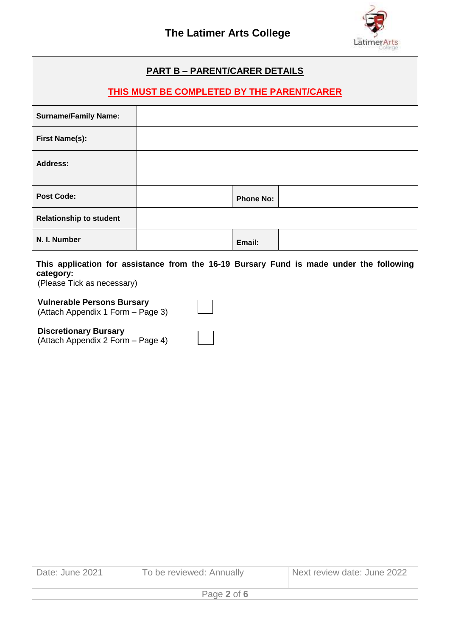

┑

| <b>PART B - PARENT/CARER DETAILS</b>              |  |                  |  |
|---------------------------------------------------|--|------------------|--|
| <b>THIS MUST BE COMPLETED BY THE PARENT/CARER</b> |  |                  |  |
| <b>Surname/Family Name:</b>                       |  |                  |  |
| First Name(s):                                    |  |                  |  |
| <b>Address:</b>                                   |  |                  |  |
| <b>Post Code:</b>                                 |  | <b>Phone No:</b> |  |
| <b>Relationship to student</b>                    |  |                  |  |
| N. I. Number                                      |  | Email:           |  |

**This application for assistance from the 16-19 Bursary Fund is made under the following category:**

(Please Tick as necessary)

**Vulnerable Persons Bursary** 

(Attach Appendix 1 Form – Page 3)

### **Discretionary Bursary**

(Attach Appendix 2 Form – Page 4)

| Date: June 2021 | To be reviewed: Annually | Next review date: June 2022 |  |  |
|-----------------|--------------------------|-----------------------------|--|--|
| Page 2 of 6     |                          |                             |  |  |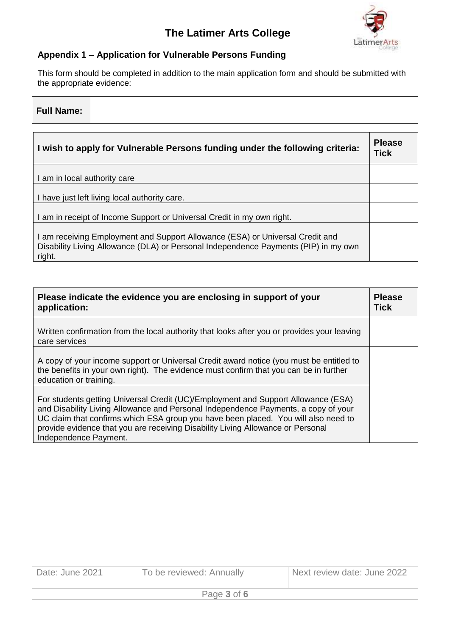# **The Latimer Arts College**



#### **Appendix 1 – Application for Vulnerable Persons Funding**

This form should be completed in addition to the main application form and should be submitted with the appropriate evidence:

| <b>Full Name:</b>            |                                                                              |                              |
|------------------------------|------------------------------------------------------------------------------|------------------------------|
|                              | I wish to apply for Vulnerable Persons funding under the following criteria: | <b>Please</b><br><b>Tick</b> |
| I am in local authority care |                                                                              |                              |
|                              | I have just left living local authority care.                                |                              |
|                              | I am in receipt of Income Support or Universal Credit in my own right.       |                              |
|                              | Lam receiving Employment and Support Allowance (ESA) or Universal Credit and |                              |

I am receiving Employment and Support Allowance (ESA) or Universal Credit and Disability Living Allowance (DLA) or Personal Independence Payments (PIP) in my own right.

| Please indicate the evidence you are enclosing in support of your<br>application:                                                                                                                                                                                                                                                                                         |  |  |
|---------------------------------------------------------------------------------------------------------------------------------------------------------------------------------------------------------------------------------------------------------------------------------------------------------------------------------------------------------------------------|--|--|
| Written confirmation from the local authority that looks after you or provides your leaving<br>care services                                                                                                                                                                                                                                                              |  |  |
| A copy of your income support or Universal Credit award notice (you must be entitled to<br>the benefits in your own right). The evidence must confirm that you can be in further<br>education or training.                                                                                                                                                                |  |  |
| For students getting Universal Credit (UC)/Employment and Support Allowance (ESA)<br>and Disability Living Allowance and Personal Independence Payments, a copy of your<br>UC claim that confirms which ESA group you have been placed. You will also need to<br>provide evidence that you are receiving Disability Living Allowance or Personal<br>Independence Payment. |  |  |

| Date: June 2021 | To be reviewed: Annually | Next review date: June 2022 |  |
|-----------------|--------------------------|-----------------------------|--|
| Page 3 of 6     |                          |                             |  |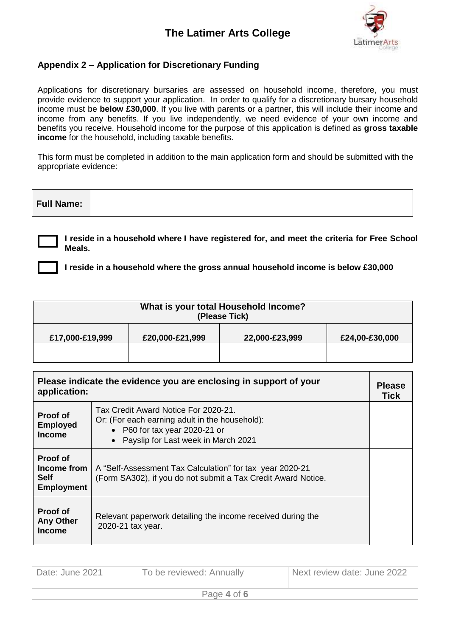### **The Latimer Arts College**



### **Appendix 2 – Application for Discretionary Funding**

Applications for discretionary bursaries are assessed on household income, therefore, you must provide evidence to support your application. In order to qualify for a discretionary bursary household income must be **below £30,000**. If you live with parents or a partner, this will include their income and income from any benefits. If you live independently, we need evidence of your own income and benefits you receive. Household income for the purpose of this application is defined as **gross taxable income** for the household, including taxable benefits.

This form must be completed in addition to the main application form and should be submitted with the appropriate evidence:

| <b>Full Name:</b> |
|-------------------|
|-------------------|

**I reside in a household where I have registered for, and meet the criteria for Free School Meals.**

**I reside in a household where the gross annual household income is below £30,000**

| What is your total Household Income?<br>(Please Tick) |                 |                |                |  |
|-------------------------------------------------------|-----------------|----------------|----------------|--|
| £17,000-£19,999                                       | £20,000-£21,999 | 22,000-£23,999 | £24,00-£30,000 |  |
|                                                       |                 |                |                |  |

| Please indicate the evidence you are enclosing in support of your<br>application: |                                                                                                                                                                  | <b>Please</b><br><b>Tick</b> |
|-----------------------------------------------------------------------------------|------------------------------------------------------------------------------------------------------------------------------------------------------------------|------------------------------|
| <b>Proof of</b><br><b>Employed</b><br><b>Income</b>                               | Tax Credit Award Notice For 2020-21.<br>Or: (For each earning adult in the household):<br>• P60 for tax year 2020-21 or<br>• Payslip for Last week in March 2021 |                              |
| <b>Proof of</b><br>Income from<br><b>Self</b><br><b>Employment</b>                | A "Self-Assessment Tax Calculation" for tax year 2020-21<br>(Form SA302), if you do not submit a Tax Credit Award Notice.                                        |                              |
| Proof of<br><b>Any Other</b><br><b>Income</b>                                     | Relevant paperwork detailing the income received during the<br>2020-21 tax year.                                                                                 |                              |

| Date: June 2021 | To be reviewed: Annually | Next review date: June 2022 |
|-----------------|--------------------------|-----------------------------|
| Page 4 of 6     |                          |                             |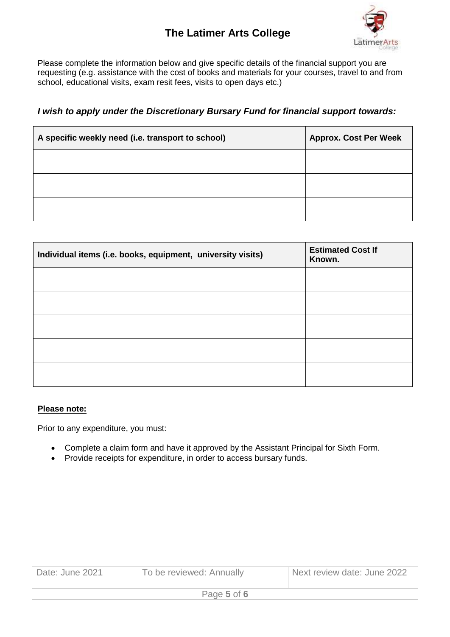# **The Latimer Arts College**



Please complete the information below and give specific details of the financial support you are requesting (e.g. assistance with the cost of books and materials for your courses, travel to and from school, educational visits, exam resit fees, visits to open days etc.)

*I wish to apply under the Discretionary Bursary Fund for financial support towards:*

| A specific weekly need (i.e. transport to school) | <b>Approx. Cost Per Week</b> |
|---------------------------------------------------|------------------------------|
|                                                   |                              |
|                                                   |                              |
|                                                   |                              |

| Individual items (i.e. books, equipment, university visits) | <b>Estimated Cost If</b><br>Known. |
|-------------------------------------------------------------|------------------------------------|
|                                                             |                                    |
|                                                             |                                    |
|                                                             |                                    |
|                                                             |                                    |
|                                                             |                                    |

#### **Please note:**

Prior to any expenditure, you must:

- Complete a claim form and have it approved by the Assistant Principal for Sixth Form.
- Provide receipts for expenditure, in order to access bursary funds.

| Date: June 2021 | To be reviewed: Annually | Next review date: June 2022 |
|-----------------|--------------------------|-----------------------------|
| Page 5 of 6     |                          |                             |